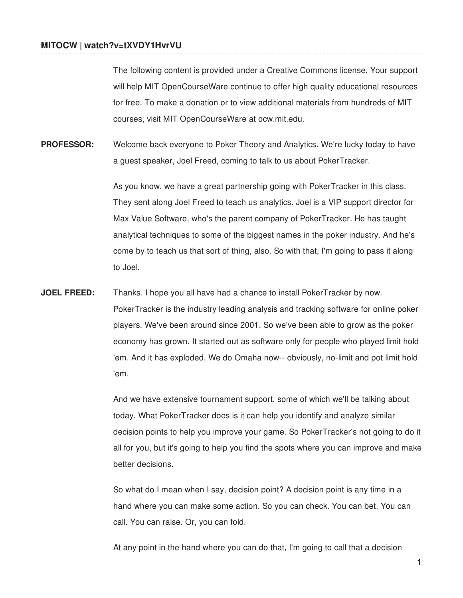The following content is provided under a Creative Commons license. Your support will help MIT OpenCourseWare continue to offer high quality educational resources for free. To make a donation or to view additional materials from hundreds of MIT courses, visit MIT OpenCourseWare at ocw.mit.edu.

**PROFESSOR:** Welcome back everyone to Poker Theory and Analytics. We're lucky today to have a guest speaker, Joel Freed, coming to talk to us about PokerTracker.

> As you know, we have a great partnership going with PokerTracker in this class. They sent along Joel Freed to teach us analytics. Joel is a VIP support director for Max Value Software, who's the parent company of PokerTracker. He has taught analytical techniques to some of the biggest names in the poker industry. And he's come by to teach us that sort of thing, also. So with that, I'm going to pass it along to Joel.

**JOEL FREED:** Thanks. I hope you all have had a chance to install PokerTracker by now. PokerTracker is the industry leading analysis and tracking software for online poker players. We've been around since 2001. So we've been able to grow as the poker economy has grown. It started out as software only for people who played limit hold 'em. And it has exploded. We do Omaha now-- obviously, no-limit and pot limit hold 'em.

> And we have extensive tournament support, some of which we'll be talking about today. What PokerTracker does is it can help you identify and analyze similar decision points to help you improve your game. So PokerTracker's not going to do it all for you, but it's going to help you find the spots where you can improve and make better decisions.

So what do I mean when I say, decision point? A decision point is any time in a hand where you can make some action. So you can check. You can bet. You can call. You can raise. Or, you can fold.

At any point in the hand where you can do that, I'm going to call that a decision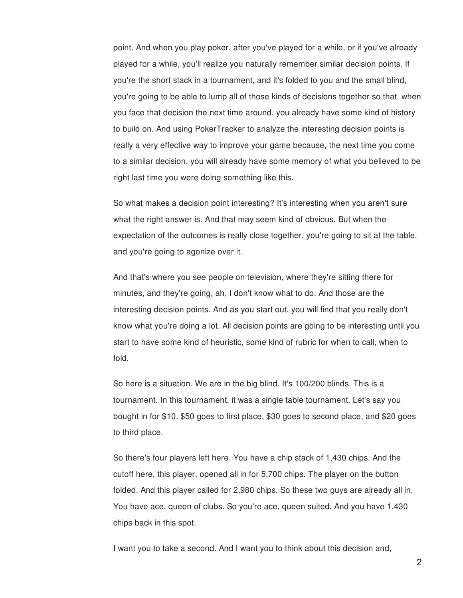point. And when you play poker, after you've played for a while, or if you've already played for a while, you'll realize you naturally remember similar decision points. If you're the short stack in a tournament, and it's folded to you and the small blind, you're going to be able to lump all of those kinds of decisions together so that, when you face that decision the next time around, you already have some kind of history to build on. And using PokerTracker to analyze the interesting decision points is really a very effective way to improve your game because, the next time you come to a similar decision, you will already have some memory of what you believed to be right last time you were doing something like this.

So what makes a decision point interesting? It's interesting when you aren't sure what the right answer is. And that may seem kind of obvious. But when the expectation of the outcomes is really close together, you're going to sit at the table, and you're going to agonize over it.

And that's where you see people on television, where they're sitting there for minutes, and they're going, ah, I don't know what to do. And those are the interesting decision points. And as you start out, you will find that you really don't know what you're doing a lot. All decision points are going to be interesting until you start to have some kind of heuristic, some kind of rubric for when to call, when to fold.

So here is a situation. We are in the big blind. It's 100/200 blinds. This is a tournament. In this tournament, it was a single table tournament. Let's say you bought in for \$10. \$50 goes to first place, \$30 goes to second place, and \$20 goes to third place.

So there's four players left here. You have a chip stack of 1,430 chips. And the cutoff here, this player, opened all in for 5,700 chips. The player on the button folded. And this player called for 2,980 chips. So these two guys are already all in. You have ace, queen of clubs. So you're ace, queen suited. And you have 1,430 chips back in this spot.

I want you to take a second. And I want you to think about this decision and,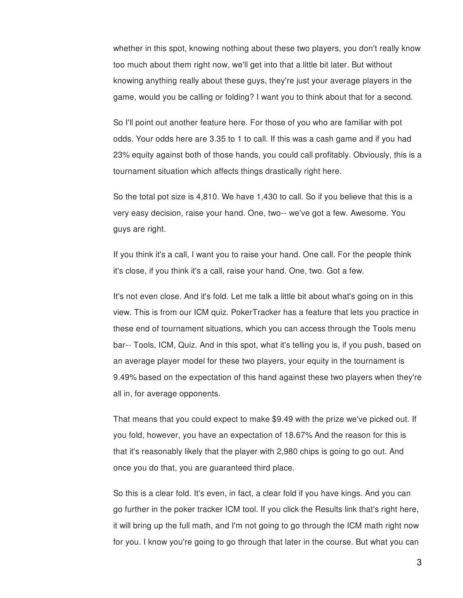whether in this spot, knowing nothing about these two players, you don't really know too much about them right now, we'll get into that a little bit later. But without knowing anything really about these guys, they're just your average players in the game, would you be calling or folding? I want you to think about that for a second.

So I'll point out another feature here. For those of you who are familiar with pot odds. Your odds here are 3.35 to 1 to call. If this was a cash game and if you had 23% equity against both of those hands, you could call profitably. Obviously, this is a tournament situation which affects things drastically right here.

So the total pot size is 4,810. We have 1,430 to call. So if you believe that this is a very easy decision, raise your hand. One, two-- we've got a few. Awesome. You guys are right.

If you think it's a call, I want you to raise your hand. One call. For the people think it's close, if you think it's a call, raise your hand. One, two. Got a few.

It's not even close. And it's fold. Let me talk a little bit about what's going on in this view. This is from our ICM quiz. PokerTracker has a feature that lets you practice in these end of tournament situations, which you can access through the Tools menu bar-- Tools, ICM, Quiz. And in this spot, what it's telling you is, if you push, based on an average player model for these two players, your equity in the tournament is 9.49% based on the expectation of this hand against these two players when they're all in, for average opponents.

That means that you could expect to make \$9.49 with the prize we've picked out. If you fold, however, you have an expectation of 18.67% And the reason for this is that it's reasonably likely that the player with 2,980 chips is going to go out. And once you do that, you are guaranteed third place.

So this is a clear fold. It's even, in fact, a clear fold if you have kings. And you can go further in the poker tracker ICM tool. If you click the Results link that's right here, it will bring up the full math, and I'm not going to go through the ICM math right now for you. I know you're going to go through that later in the course. But what you can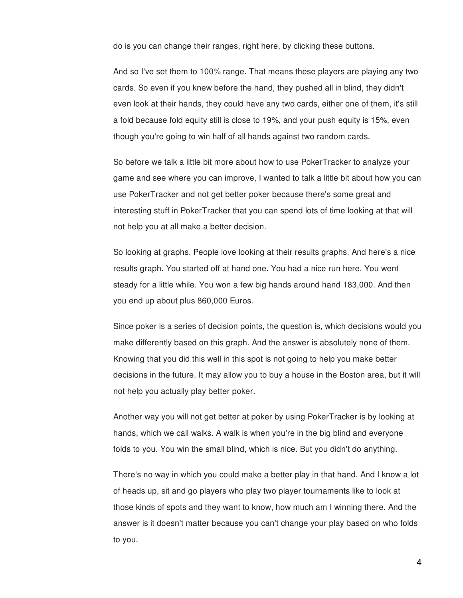do is you can change their ranges, right here, by clicking these buttons.

And so I've set them to 100% range. That means these players are playing any two cards. So even if you knew before the hand, they pushed all in blind, they didn't even look at their hands, they could have any two cards, either one of them, it's still a fold because fold equity still is close to 19%, and your push equity is 15%, even though you're going to win half of all hands against two random cards.

So before we talk a little bit more about how to use PokerTracker to analyze your game and see where you can improve, I wanted to talk a little bit about how you can use PokerTracker and not get better poker because there's some great and interesting stuff in PokerTracker that you can spend lots of time looking at that will not help you at all make a better decision.

So looking at graphs. People love looking at their results graphs. And here's a nice results graph. You started off at hand one. You had a nice run here. You went steady for a little while. You won a few big hands around hand 183,000. And then you end up about plus 860,000 Euros.

Since poker is a series of decision points, the question is, which decisions would you make differently based on this graph. And the answer is absolutely none of them. Knowing that you did this well in this spot is not going to help you make better decisions in the future. It may allow you to buy a house in the Boston area, but it will not help you actually play better poker.

Another way you will not get better at poker by using PokerTracker is by looking at hands, which we call walks. A walk is when you're in the big blind and everyone folds to you. You win the small blind, which is nice. But you didn't do anything.

There's no way in which you could make a better play in that hand. And I know a lot of heads up, sit and go players who play two player tournaments like to look at those kinds of spots and they want to know, how much am I winning there. And the answer is it doesn't matter because you can't change your play based on who folds to you.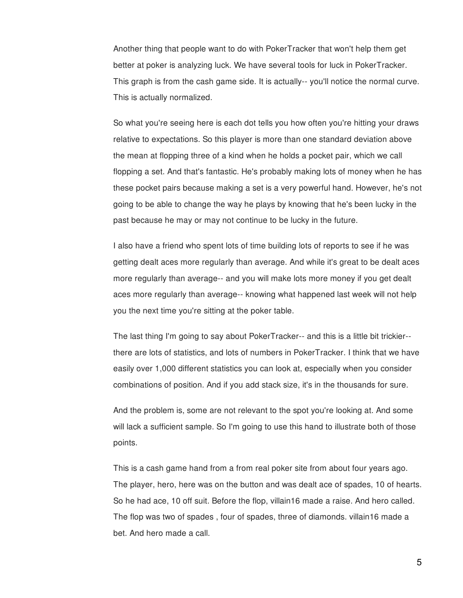Another thing that people want to do with PokerTracker that won't help them get better at poker is analyzing luck. We have several tools for luck in PokerTracker. This graph is from the cash game side. It is actually-- you'll notice the normal curve. This is actually normalized.

So what you're seeing here is each dot tells you how often you're hitting your draws relative to expectations. So this player is more than one standard deviation above the mean at flopping three of a kind when he holds a pocket pair, which we call flopping a set. And that's fantastic. He's probably making lots of money when he has these pocket pairs because making a set is a very powerful hand. However, he's not going to be able to change the way he plays by knowing that he's been lucky in the past because he may or may not continue to be lucky in the future.

I also have a friend who spent lots of time building lots of reports to see if he was getting dealt aces more regularly than average. And while it's great to be dealt aces more regularly than average-- and you will make lots more money if you get dealt aces more regularly than average-- knowing what happened last week will not help you the next time you're sitting at the poker table.

The last thing I'm going to say about PokerTracker-- and this is a little bit trickier- there are lots of statistics, and lots of numbers in PokerTracker. I think that we have easily over 1,000 different statistics you can look at, especially when you consider combinations of position. And if you add stack size, it's in the thousands for sure.

And the problem is, some are not relevant to the spot you're looking at. And some will lack a sufficient sample. So I'm going to use this hand to illustrate both of those points.

This is a cash game hand from a from real poker site from about four years ago. The player, hero, here was on the button and was dealt ace of spades, 10 of hearts. So he had ace, 10 off suit. Before the flop, villain16 made a raise. And hero called. The flop was two of spades , four of spades, three of diamonds. villain16 made a bet. And hero made a call.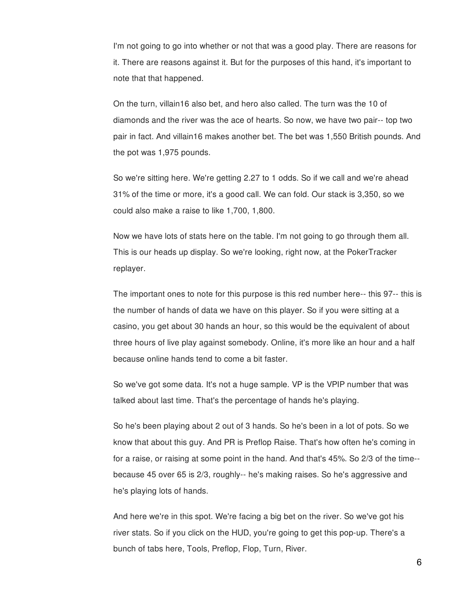I'm not going to go into whether or not that was a good play. There are reasons for it. There are reasons against it. But for the purposes of this hand, it's important to note that that happened.

On the turn, villain16 also bet, and hero also called. The turn was the 10 of diamonds and the river was the ace of hearts. So now, we have two pair-- top two pair in fact. And villain16 makes another bet. The bet was 1,550 British pounds. And the pot was 1,975 pounds.

So we're sitting here. We're getting 2.27 to 1 odds. So if we call and we're ahead 31% of the time or more, it's a good call. We can fold. Our stack is 3,350, so we could also make a raise to like 1,700, 1,800.

Now we have lots of stats here on the table. I'm not going to go through them all. This is our heads up display. So we're looking, right now, at the PokerTracker replayer.

The important ones to note for this purpose is this red number here-- this 97-- this is the number of hands of data we have on this player. So if you were sitting at a casino, you get about 30 hands an hour, so this would be the equivalent of about three hours of live play against somebody. Online, it's more like an hour and a half because online hands tend to come a bit faster.

So we've got some data. It's not a huge sample. VP is the VPIP number that was talked about last time. That's the percentage of hands he's playing.

So he's been playing about 2 out of 3 hands. So he's been in a lot of pots. So we know that about this guy. And PR is Preflop Raise. That's how often he's coming in for a raise, or raising at some point in the hand. And that's 45%. So 2/3 of the time- because 45 over 65 is 2/3, roughly-- he's making raises. So he's aggressive and he's playing lots of hands.

And here we're in this spot. We're facing a big bet on the river. So we've got his river stats. So if you click on the HUD, you're going to get this pop-up. There's a bunch of tabs here, Tools, Preflop, Flop, Turn, River.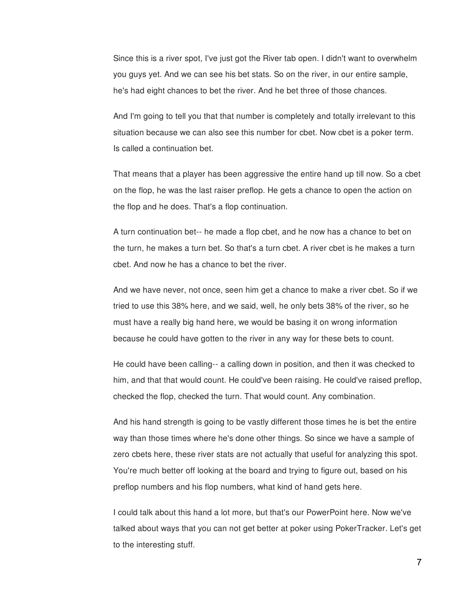Since this is a river spot, I've just got the River tab open. I didn't want to overwhelm you guys yet. And we can see his bet stats. So on the river, in our entire sample, he's had eight chances to bet the river. And he bet three of those chances.

And I'm going to tell you that that number is completely and totally irrelevant to this situation because we can also see this number for cbet. Now cbet is a poker term. Is called a continuation bet.

That means that a player has been aggressive the entire hand up till now. So a cbet on the flop, he was the last raiser preflop. He gets a chance to open the action on the flop and he does. That's a flop continuation.

A turn continuation bet-- he made a flop cbet, and he now has a chance to bet on the turn, he makes a turn bet. So that's a turn cbet. A river cbet is he makes a turn cbet. And now he has a chance to bet the river.

And we have never, not once, seen him get a chance to make a river cbet. So if we tried to use this 38% here, and we said, well, he only bets 38% of the river, so he must have a really big hand here, we would be basing it on wrong information because he could have gotten to the river in any way for these bets to count.

He could have been calling-- a calling down in position, and then it was checked to him, and that that would count. He could've been raising. He could've raised preflop, checked the flop, checked the turn. That would count. Any combination.

And his hand strength is going to be vastly different those times he is bet the entire way than those times where he's done other things. So since we have a sample of zero cbets here, these river stats are not actually that useful for analyzing this spot. You're much better off looking at the board and trying to figure out, based on his preflop numbers and his flop numbers, what kind of hand gets here.

I could talk about this hand a lot more, but that's our PowerPoint here. Now we've talked about ways that you can not get better at poker using PokerTracker. Let's get to the interesting stuff.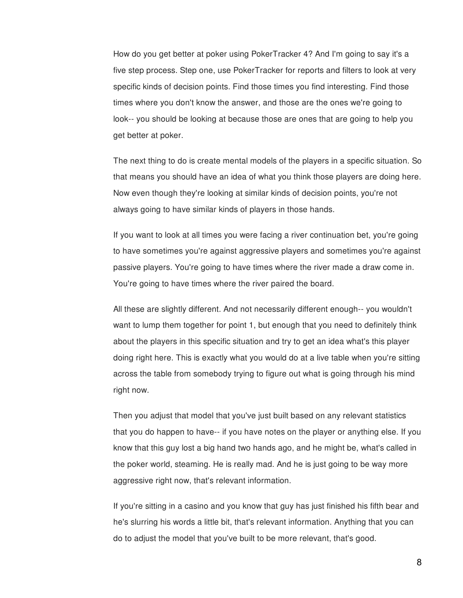How do you get better at poker using PokerTracker 4? And I'm going to say it's a five step process. Step one, use PokerTracker for reports and filters to look at very specific kinds of decision points. Find those times you find interesting. Find those times where you don't know the answer, and those are the ones we're going to look-- you should be looking at because those are ones that are going to help you get better at poker.

The next thing to do is create mental models of the players in a specific situation. So that means you should have an idea of what you think those players are doing here. Now even though they're looking at similar kinds of decision points, you're not always going to have similar kinds of players in those hands.

If you want to look at all times you were facing a river continuation bet, you're going to have sometimes you're against aggressive players and sometimes you're against passive players. You're going to have times where the river made a draw come in. You're going to have times where the river paired the board.

All these are slightly different. And not necessarily different enough-- you wouldn't want to lump them together for point 1, but enough that you need to definitely think about the players in this specific situation and try to get an idea what's this player doing right here. This is exactly what you would do at a live table when you're sitting across the table from somebody trying to figure out what is going through his mind right now.

Then you adjust that model that you've just built based on any relevant statistics that you do happen to have-- if you have notes on the player or anything else. If you know that this guy lost a big hand two hands ago, and he might be, what's called in the poker world, steaming. He is really mad. And he is just going to be way more aggressive right now, that's relevant information.

If you're sitting in a casino and you know that guy has just finished his fifth bear and he's slurring his words a little bit, that's relevant information. Anything that you can do to adjust the model that you've built to be more relevant, that's good.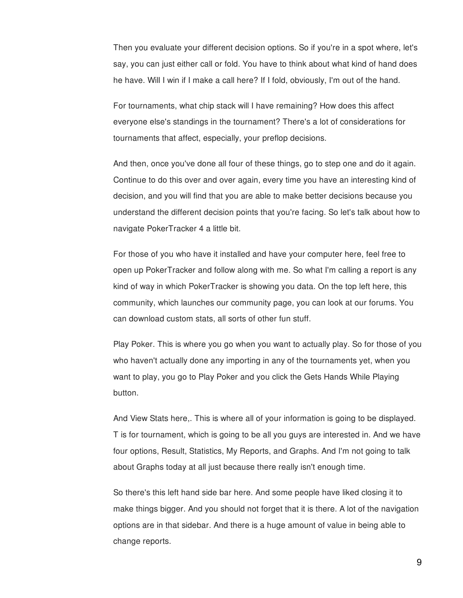Then you evaluate your different decision options. So if you're in a spot where, let's say, you can just either call or fold. You have to think about what kind of hand does he have. Will I win if I make a call here? If I fold, obviously, I'm out of the hand.

For tournaments, what chip stack will I have remaining? How does this affect everyone else's standings in the tournament? There's a lot of considerations for tournaments that affect, especially, your preflop decisions.

And then, once you've done all four of these things, go to step one and do it again. Continue to do this over and over again, every time you have an interesting kind of decision, and you will find that you are able to make better decisions because you understand the different decision points that you're facing. So let's talk about how to navigate PokerTracker 4 a little bit.

For those of you who have it installed and have your computer here, feel free to open up PokerTracker and follow along with me. So what I'm calling a report is any kind of way in which PokerTracker is showing you data. On the top left here, this community, which launches our community page, you can look at our forums. You can download custom stats, all sorts of other fun stuff.

Play Poker. This is where you go when you want to actually play. So for those of you who haven't actually done any importing in any of the tournaments yet, when you want to play, you go to Play Poker and you click the Gets Hands While Playing button.

And View Stats here,. This is where all of your information is going to be displayed. T is for tournament, which is going to be all you guys are interested in. And we have four options, Result, Statistics, My Reports, and Graphs. And I'm not going to talk about Graphs today at all just because there really isn't enough time.

So there's this left hand side bar here. And some people have liked closing it to make things bigger. And you should not forget that it is there. A lot of the navigation options are in that sidebar. And there is a huge amount of value in being able to change reports.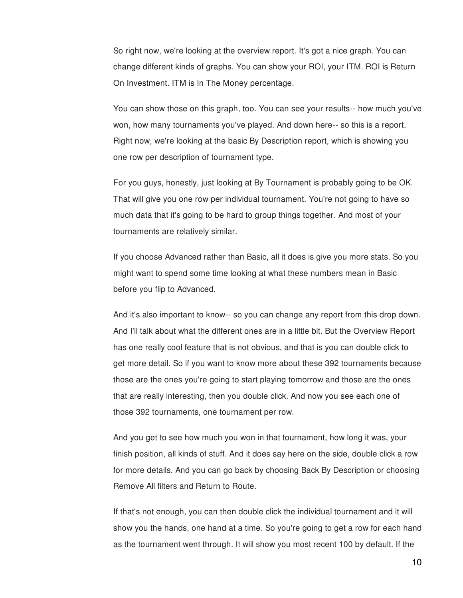So right now, we're looking at the overview report. It's got a nice graph. You can change different kinds of graphs. You can show your ROI, your ITM. ROI is Return On Investment. ITM is In The Money percentage.

You can show those on this graph, too. You can see your results-- how much you've won, how many tournaments you've played. And down here-- so this is a report. Right now, we're looking at the basic By Description report, which is showing you one row per description of tournament type.

For you guys, honestly, just looking at By Tournament is probably going to be OK. That will give you one row per individual tournament. You're not going to have so much data that it's going to be hard to group things together. And most of your tournaments are relatively similar.

If you choose Advanced rather than Basic, all it does is give you more stats. So you might want to spend some time looking at what these numbers mean in Basic before you flip to Advanced.

And it's also important to know-- so you can change any report from this drop down. And I'll talk about what the different ones are in a little bit. But the Overview Report has one really cool feature that is not obvious, and that is you can double click to get more detail. So if you want to know more about these 392 tournaments because those are the ones you're going to start playing tomorrow and those are the ones that are really interesting, then you double click. And now you see each one of those 392 tournaments, one tournament per row.

And you get to see how much you won in that tournament, how long it was, your finish position, all kinds of stuff. And it does say here on the side, double click a row for more details. And you can go back by choosing Back By Description or choosing Remove All filters and Return to Route.

If that's not enough, you can then double click the individual tournament and it will show you the hands, one hand at a time. So you're going to get a row for each hand as the tournament went through. It will show you most recent 100 by default. If the

10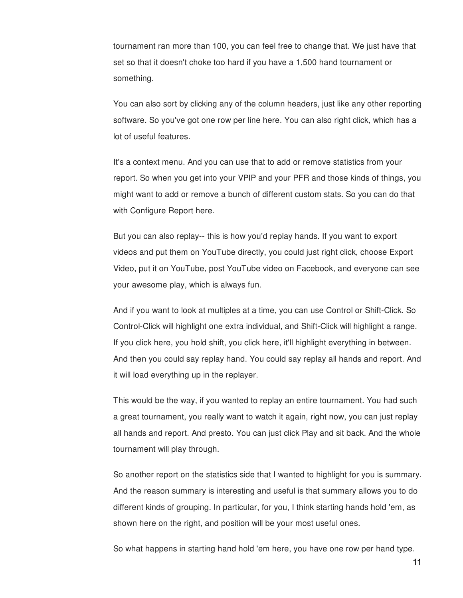tournament ran more than 100, you can feel free to change that. We just have that set so that it doesn't choke too hard if you have a 1,500 hand tournament or something.

You can also sort by clicking any of the column headers, just like any other reporting software. So you've got one row per line here. You can also right click, which has a lot of useful features.

It's a context menu. And you can use that to add or remove statistics from your report. So when you get into your VPIP and your PFR and those kinds of things, you might want to add or remove a bunch of different custom stats. So you can do that with Configure Report here.

But you can also replay-- this is how you'd replay hands. If you want to export videos and put them on YouTube directly, you could just right click, choose Export Video, put it on YouTube, post YouTube video on Facebook, and everyone can see your awesome play, which is always fun.

And if you want to look at multiples at a time, you can use Control or Shift-Click. So Control-Click will highlight one extra individual, and Shift-Click will highlight a range. If you click here, you hold shift, you click here, it'll highlight everything in between. And then you could say replay hand. You could say replay all hands and report. And it will load everything up in the replayer.

This would be the way, if you wanted to replay an entire tournament. You had such a great tournament, you really want to watch it again, right now, you can just replay all hands and report. And presto. You can just click Play and sit back. And the whole tournament will play through.

So another report on the statistics side that I wanted to highlight for you is summary. And the reason summary is interesting and useful is that summary allows you to do different kinds of grouping. In particular, for you, I think starting hands hold 'em, as shown here on the right, and position will be your most useful ones.

So what happens in starting hand hold 'em here, you have one row per hand type.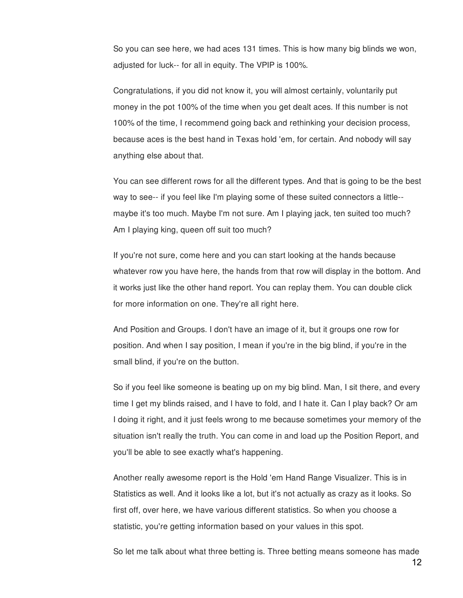So you can see here, we had aces 131 times. This is how many big blinds we won, adjusted for luck-- for all in equity. The VPIP is 100%.

Congratulations, if you did not know it, you will almost certainly, voluntarily put money in the pot 100% of the time when you get dealt aces. If this number is not 100% of the time, I recommend going back and rethinking your decision process, because aces is the best hand in Texas hold 'em, for certain. And nobody will say anything else about that.

You can see different rows for all the different types. And that is going to be the best way to see-- if you feel like I'm playing some of these suited connectors a little- maybe it's too much. Maybe I'm not sure. Am I playing jack, ten suited too much? Am I playing king, queen off suit too much?

If you're not sure, come here and you can start looking at the hands because whatever row you have here, the hands from that row will display in the bottom. And it works just like the other hand report. You can replay them. You can double click for more information on one. They're all right here.

And Position and Groups. I don't have an image of it, but it groups one row for position. And when I say position, I mean if you're in the big blind, if you're in the small blind, if you're on the button.

So if you feel like someone is beating up on my big blind. Man, I sit there, and every time I get my blinds raised, and I have to fold, and I hate it. Can I play back? Or am I doing it right, and it just feels wrong to me because sometimes your memory of the situation isn't really the truth. You can come in and load up the Position Report, and you'll be able to see exactly what's happening.

Another really awesome report is the Hold 'em Hand Range Visualizer. This is in Statistics as well. And it looks like a lot, but it's not actually as crazy as it looks. So first off, over here, we have various different statistics. So when you choose a statistic, you're getting information based on your values in this spot.

So let me talk about what three betting is. Three betting means someone has made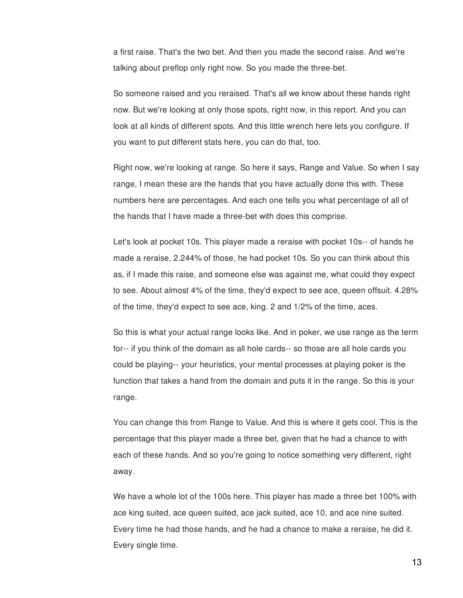a first raise. That's the two bet. And then you made the second raise. And we're talking about preflop only right now. So you made the three-bet.

So someone raised and you reraised. That's all we know about these hands right now. But we're looking at only those spots, right now, in this report. And you can look at all kinds of different spots. And this little wrench here lets you configure. If you want to put different stats here, you can do that, too.

Right now, we're looking at range. So here it says, Range and Value. So when I say range, I mean these are the hands that you have actually done this with. These numbers here are percentages. And each one tells you what percentage of all of the hands that I have made a three-bet with does this comprise.

Let's look at pocket 10s. This player made a reraise with pocket 10s-- of hands he made a reraise, 2.244% of those, he had pocket 10s. So you can think about this as, if I made this raise, and someone else was against me, what could they expect to see. About almost 4% of the time, they'd expect to see ace, queen offsuit. 4.28% of the time, they'd expect to see ace, king. 2 and 1/2% of the time, aces.

So this is what your actual range looks like. And in poker, we use range as the term for-- if you think of the domain as all hole cards-- so those are all hole cards you could be playing-- your heuristics, your mental processes at playing poker is the function that takes a hand from the domain and puts it in the range. So this is your range.

You can change this from Range to Value. And this is where it gets cool. This is the percentage that this player made a three bet, given that he had a chance to with each of these hands. And so you're going to notice something very different, right away.

We have a whole lot of the 100s here. This player has made a three bet 100% with ace king suited, ace queen suited, ace jack suited, ace 10, and ace nine suited. Every time he had those hands, and he had a chance to make a reraise, he did it. Every single time.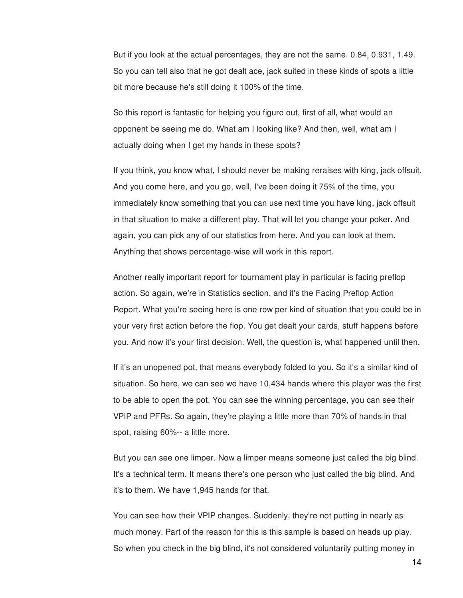But if you look at the actual percentages, they are not the same. 0.84, 0.931, 1.49. So you can tell also that he got dealt ace, jack suited in these kinds of spots a little bit more because he's still doing it 100% of the time.

So this report is fantastic for helping you figure out, first of all, what would an opponent be seeing me do. What am I looking like? And then, well, what am I actually doing when I get my hands in these spots?

If you think, you know what, I should never be making reraises with king, jack offsuit. And you come here, and you go, well, I've been doing it 75% of the time, you immediately know something that you can use next time you have king, jack offsuit in that situation to make a different play. That will let you change your poker. And again, you can pick any of our statistics from here. And you can look at them. Anything that shows percentage-wise will work in this report.

Another really important report for tournament play in particular is facing preflop action. So again, we're in Statistics section, and it's the Facing Preflop Action Report. What you're seeing here is one row per kind of situation that you could be in your very first action before the flop. You get dealt your cards, stuff happens before you. And now it's your first decision. Well, the question is, what happened until then.

If it's an unopened pot, that means everybody folded to you. So it's a similar kind of situation. So here, we can see we have 10,434 hands where this player was the first to be able to open the pot. You can see the winning percentage, you can see their VPIP and PFRs. So again, they're playing a little more than 70% of hands in that spot, raising 60%-- a little more.

But you can see one limper. Now a limper means someone just called the big blind. It's a technical term. It means there's one person who just called the big blind. And it's to them. We have 1,945 hands for that.

You can see how their VPIP changes. Suddenly, they're not putting in nearly as much money. Part of the reason for this is this sample is based on heads up play. So when you check in the big blind, it's not considered voluntarily putting money in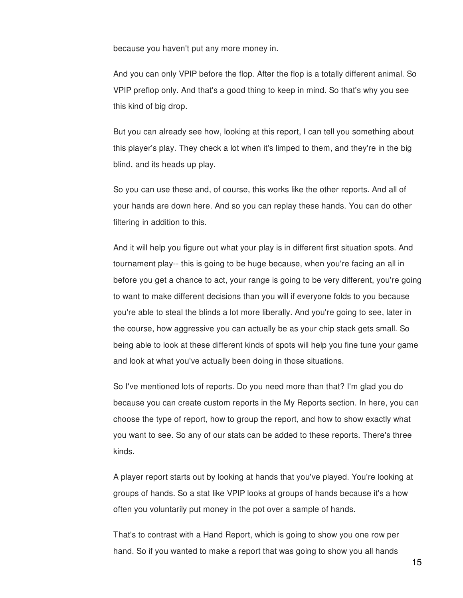because you haven't put any more money in.

And you can only VPIP before the flop. After the flop is a totally different animal. So VPIP preflop only. And that's a good thing to keep in mind. So that's why you see this kind of big drop.

But you can already see how, looking at this report, I can tell you something about this player's play. They check a lot when it's limped to them, and they're in the big blind, and its heads up play.

So you can use these and, of course, this works like the other reports. And all of your hands are down here. And so you can replay these hands. You can do other filtering in addition to this.

And it will help you figure out what your play is in different first situation spots. And tournament play-- this is going to be huge because, when you're facing an all in before you get a chance to act, your range is going to be very different, you're going to want to make different decisions than you will if everyone folds to you because you're able to steal the blinds a lot more liberally. And you're going to see, later in the course, how aggressive you can actually be as your chip stack gets small. So being able to look at these different kinds of spots will help you fine tune your game and look at what you've actually been doing in those situations.

So I've mentioned lots of reports. Do you need more than that? I'm glad you do because you can create custom reports in the My Reports section. In here, you can choose the type of report, how to group the report, and how to show exactly what you want to see. So any of our stats can be added to these reports. There's three kinds.

A player report starts out by looking at hands that you've played. You're looking at groups of hands. So a stat like VPIP looks at groups of hands because it's a how often you voluntarily put money in the pot over a sample of hands.

That's to contrast with a Hand Report, which is going to show you one row per hand. So if you wanted to make a report that was going to show you all hands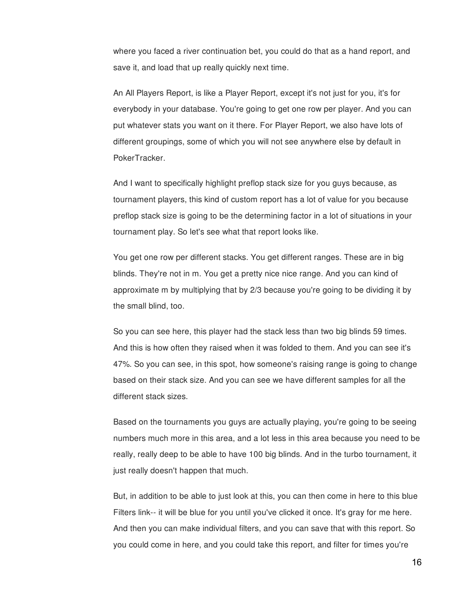where you faced a river continuation bet, you could do that as a hand report, and save it, and load that up really quickly next time.

An All Players Report, is like a Player Report, except it's not just for you, it's for everybody in your database. You're going to get one row per player. And you can put whatever stats you want on it there. For Player Report, we also have lots of different groupings, some of which you will not see anywhere else by default in PokerTracker.

And I want to specifically highlight preflop stack size for you guys because, as tournament players, this kind of custom report has a lot of value for you because preflop stack size is going to be the determining factor in a lot of situations in your tournament play. So let's see what that report looks like.

You get one row per different stacks. You get different ranges. These are in big blinds. They're not in m. You get a pretty nice nice range. And you can kind of approximate m by multiplying that by 2/3 because you're going to be dividing it by the small blind, too.

So you can see here, this player had the stack less than two big blinds 59 times. And this is how often they raised when it was folded to them. And you can see it's 47%. So you can see, in this spot, how someone's raising range is going to change based on their stack size. And you can see we have different samples for all the different stack sizes.

Based on the tournaments you guys are actually playing, you're going to be seeing numbers much more in this area, and a lot less in this area because you need to be really, really deep to be able to have 100 big blinds. And in the turbo tournament, it just really doesn't happen that much.

But, in addition to be able to just look at this, you can then come in here to this blue Filters link-- it will be blue for you until you've clicked it once. It's gray for me here. And then you can make individual filters, and you can save that with this report. So you could come in here, and you could take this report, and filter for times you're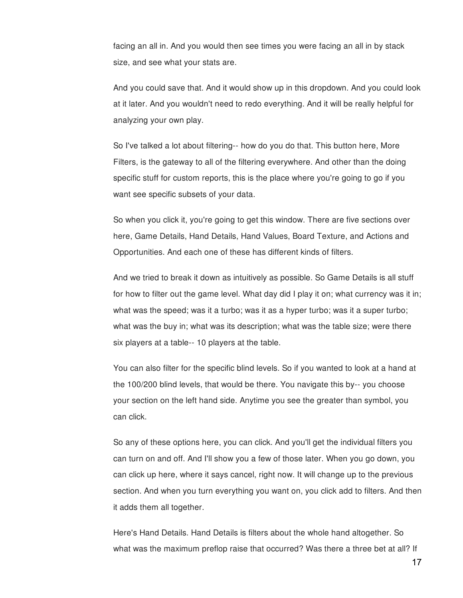facing an all in. And you would then see times you were facing an all in by stack size, and see what your stats are.

And you could save that. And it would show up in this dropdown. And you could look at it later. And you wouldn't need to redo everything. And it will be really helpful for analyzing your own play.

So I've talked a lot about filtering-- how do you do that. This button here, More Filters, is the gateway to all of the filtering everywhere. And other than the doing specific stuff for custom reports, this is the place where you're going to go if you want see specific subsets of your data.

So when you click it, you're going to get this window. There are five sections over here, Game Details, Hand Details, Hand Values, Board Texture, and Actions and Opportunities. And each one of these has different kinds of filters.

And we tried to break it down as intuitively as possible. So Game Details is all stuff for how to filter out the game level. What day did I play it on; what currency was it in; what was the speed; was it a turbo; was it as a hyper turbo; was it a super turbo; what was the buy in; what was its description; what was the table size; were there six players at a table-- 10 players at the table.

You can also filter for the specific blind levels. So if you wanted to look at a hand at the 100/200 blind levels, that would be there. You navigate this by-- you choose your section on the left hand side. Anytime you see the greater than symbol, you can click.

So any of these options here, you can click. And you'll get the individual filters you can turn on and off. And I'll show you a few of those later. When you go down, you can click up here, where it says cancel, right now. It will change up to the previous section. And when you turn everything you want on, you click add to filters. And then it adds them all together.

Here's Hand Details. Hand Details is filters about the whole hand altogether. So what was the maximum preflop raise that occurred? Was there a three bet at all? If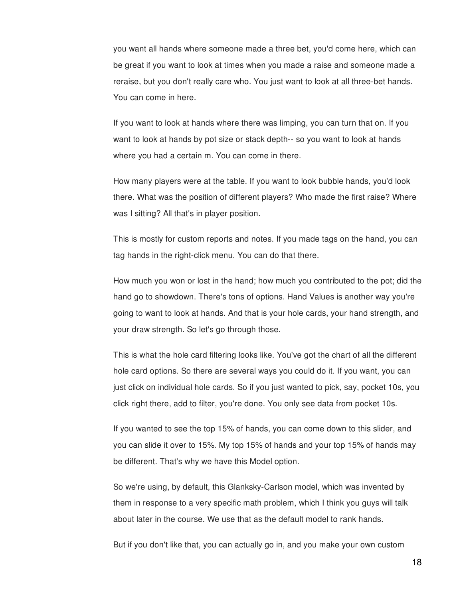you want all hands where someone made a three bet, you'd come here, which can be great if you want to look at times when you made a raise and someone made a reraise, but you don't really care who. You just want to look at all three-bet hands. You can come in here.

If you want to look at hands where there was limping, you can turn that on. If you want to look at hands by pot size or stack depth-- so you want to look at hands where you had a certain m. You can come in there.

How many players were at the table. If you want to look bubble hands, you'd look there. What was the position of different players? Who made the first raise? Where was I sitting? All that's in player position.

This is mostly for custom reports and notes. If you made tags on the hand, you can tag hands in the right-click menu. You can do that there.

How much you won or lost in the hand; how much you contributed to the pot; did the hand go to showdown. There's tons of options. Hand Values is another way you're going to want to look at hands. And that is your hole cards, your hand strength, and your draw strength. So let's go through those.

This is what the hole card filtering looks like. You've got the chart of all the different hole card options. So there are several ways you could do it. If you want, you can just click on individual hole cards. So if you just wanted to pick, say, pocket 10s, you click right there, add to filter, you're done. You only see data from pocket 10s.

If you wanted to see the top 15% of hands, you can come down to this slider, and you can slide it over to 15%. My top 15% of hands and your top 15% of hands may be different. That's why we have this Model option.

So we're using, by default, this Glanksky-Carlson model, which was invented by them in response to a very specific math problem, which I think you guys will talk about later in the course. We use that as the default model to rank hands.

But if you don't like that, you can actually go in, and you make your own custom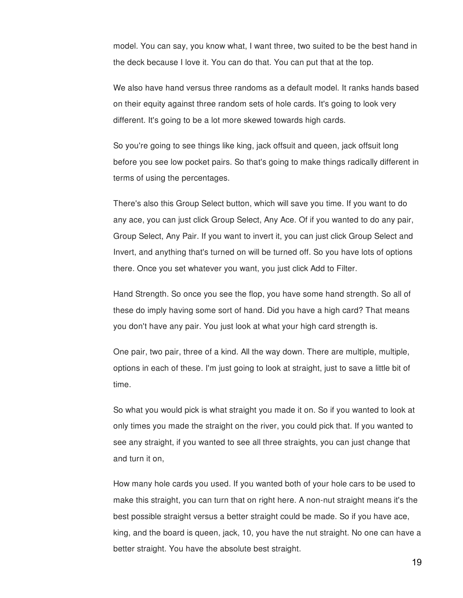model. You can say, you know what, I want three, two suited to be the best hand in the deck because I love it. You can do that. You can put that at the top.

We also have hand versus three randoms as a default model. It ranks hands based on their equity against three random sets of hole cards. It's going to look very different. It's going to be a lot more skewed towards high cards.

So you're going to see things like king, jack offsuit and queen, jack offsuit long before you see low pocket pairs. So that's going to make things radically different in terms of using the percentages.

There's also this Group Select button, which will save you time. If you want to do any ace, you can just click Group Select, Any Ace. Of if you wanted to do any pair, Group Select, Any Pair. If you want to invert it, you can just click Group Select and Invert, and anything that's turned on will be turned off. So you have lots of options there. Once you set whatever you want, you just click Add to Filter.

Hand Strength. So once you see the flop, you have some hand strength. So all of these do imply having some sort of hand. Did you have a high card? That means you don't have any pair. You just look at what your high card strength is.

One pair, two pair, three of a kind. All the way down. There are multiple, multiple, options in each of these. I'm just going to look at straight, just to save a little bit of time.

So what you would pick is what straight you made it on. So if you wanted to look at only times you made the straight on the river, you could pick that. If you wanted to see any straight, if you wanted to see all three straights, you can just change that and turn it on,

How many hole cards you used. If you wanted both of your hole cars to be used to make this straight, you can turn that on right here. A non-nut straight means it's the best possible straight versus a better straight could be made. So if you have ace, king, and the board is queen, jack, 10, you have the nut straight. No one can have a better straight. You have the absolute best straight.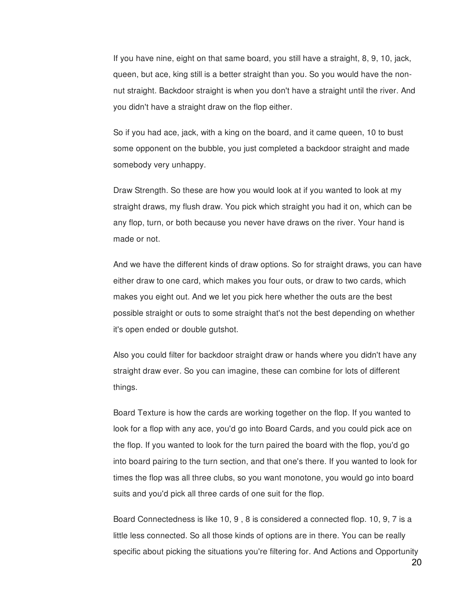If you have nine, eight on that same board, you still have a straight, 8, 9, 10, jack, queen, but ace, king still is a better straight than you. So you would have the nonnut straight. Backdoor straight is when you don't have a straight until the river. And you didn't have a straight draw on the flop either.

So if you had ace, jack, with a king on the board, and it came queen, 10 to bust some opponent on the bubble, you just completed a backdoor straight and made somebody very unhappy.

Draw Strength. So these are how you would look at if you wanted to look at my straight draws, my flush draw. You pick which straight you had it on, which can be any flop, turn, or both because you never have draws on the river. Your hand is made or not.

And we have the different kinds of draw options. So for straight draws, you can have either draw to one card, which makes you four outs, or draw to two cards, which makes you eight out. And we let you pick here whether the outs are the best possible straight or outs to some straight that's not the best depending on whether it's open ended or double gutshot.

Also you could filter for backdoor straight draw or hands where you didn't have any straight draw ever. So you can imagine, these can combine for lots of different things.

Board Texture is how the cards are working together on the flop. If you wanted to look for a flop with any ace, you'd go into Board Cards, and you could pick ace on the flop. If you wanted to look for the turn paired the board with the flop, you'd go into board pairing to the turn section, and that one's there. If you wanted to look for times the flop was all three clubs, so you want monotone, you would go into board suits and you'd pick all three cards of one suit for the flop.

Board Connectedness is like 10, 9 , 8 is considered a connected flop. 10, 9, 7 is a little less connected. So all those kinds of options are in there. You can be really specific about picking the situations you're filtering for. And Actions and Opportunity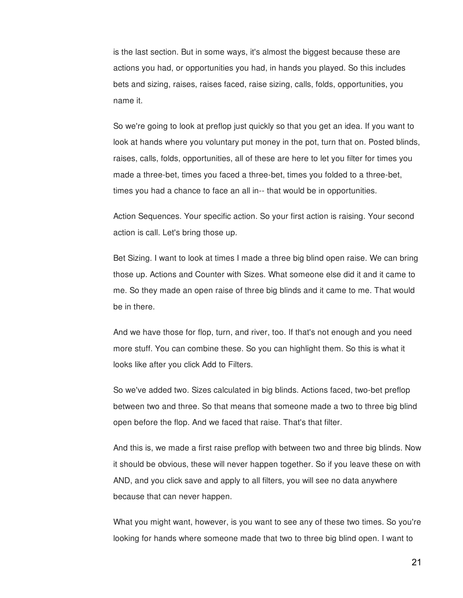is the last section. But in some ways, it's almost the biggest because these are actions you had, or opportunities you had, in hands you played. So this includes bets and sizing, raises, raises faced, raise sizing, calls, folds, opportunities, you name it.

So we're going to look at preflop just quickly so that you get an idea. If you want to look at hands where you voluntary put money in the pot, turn that on. Posted blinds, raises, calls, folds, opportunities, all of these are here to let you filter for times you made a three-bet, times you faced a three-bet, times you folded to a three-bet, times you had a chance to face an all in-- that would be in opportunities.

Action Sequences. Your specific action. So your first action is raising. Your second action is call. Let's bring those up.

Bet Sizing. I want to look at times I made a three big blind open raise. We can bring those up. Actions and Counter with Sizes. What someone else did it and it came to me. So they made an open raise of three big blinds and it came to me. That would be in there.

And we have those for flop, turn, and river, too. If that's not enough and you need more stuff. You can combine these. So you can highlight them. So this is what it looks like after you click Add to Filters.

So we've added two. Sizes calculated in big blinds. Actions faced, two-bet preflop between two and three. So that means that someone made a two to three big blind open before the flop. And we faced that raise. That's that filter.

And this is, we made a first raise preflop with between two and three big blinds. Now it should be obvious, these will never happen together. So if you leave these on with AND, and you click save and apply to all filters, you will see no data anywhere because that can never happen.

What you might want, however, is you want to see any of these two times. So you're looking for hands where someone made that two to three big blind open. I want to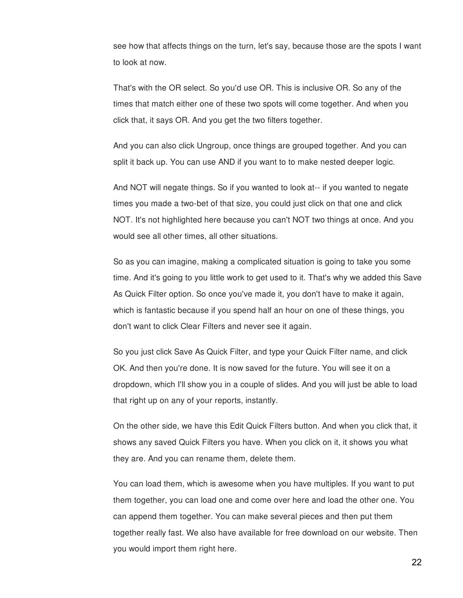see how that affects things on the turn, let's say, because those are the spots I want to look at now.

That's with the OR select. So you'd use OR. This is inclusive OR. So any of the times that match either one of these two spots will come together. And when you click that, it says OR. And you get the two filters together.

And you can also click Ungroup, once things are grouped together. And you can split it back up. You can use AND if you want to to make nested deeper logic.

And NOT will negate things. So if you wanted to look at-- if you wanted to negate times you made a two-bet of that size, you could just click on that one and click NOT. It's not highlighted here because you can't NOT two things at once. And you would see all other times, all other situations.

So as you can imagine, making a complicated situation is going to take you some time. And it's going to you little work to get used to it. That's why we added this Save As Quick Filter option. So once you've made it, you don't have to make it again, which is fantastic because if you spend half an hour on one of these things, you don't want to click Clear Filters and never see it again.

So you just click Save As Quick Filter, and type your Quick Filter name, and click OK. And then you're done. It is now saved for the future. You will see it on a dropdown, which I'll show you in a couple of slides. And you will just be able to load that right up on any of your reports, instantly.

On the other side, we have this Edit Quick Filters button. And when you click that, it shows any saved Quick Filters you have. When you click on it, it shows you what they are. And you can rename them, delete them.

You can load them, which is awesome when you have multiples. If you want to put them together, you can load one and come over here and load the other one. You can append them together. You can make several pieces and then put them together really fast. We also have available for free download on our website. Then you would import them right here.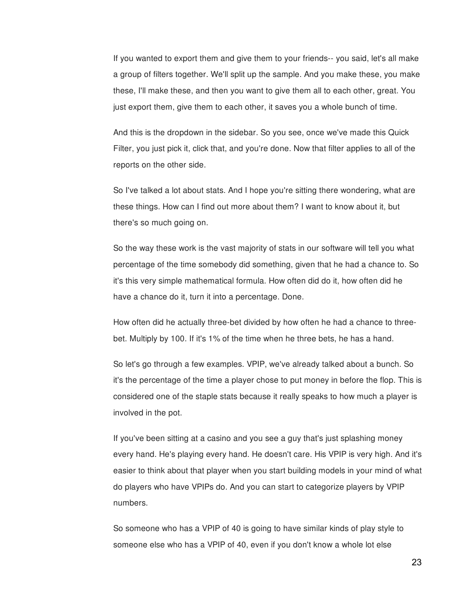If you wanted to export them and give them to your friends-- you said, let's all make a group of filters together. We'll split up the sample. And you make these, you make these, I'll make these, and then you want to give them all to each other, great. You just export them, give them to each other, it saves you a whole bunch of time.

And this is the dropdown in the sidebar. So you see, once we've made this Quick Filter, you just pick it, click that, and you're done. Now that filter applies to all of the reports on the other side.

So I've talked a lot about stats. And I hope you're sitting there wondering, what are these things. How can I find out more about them? I want to know about it, but there's so much going on.

So the way these work is the vast majority of stats in our software will tell you what percentage of the time somebody did something, given that he had a chance to. So it's this very simple mathematical formula. How often did do it, how often did he have a chance do it, turn it into a percentage. Done.

How often did he actually three-bet divided by how often he had a chance to threebet. Multiply by 100. If it's 1% of the time when he three bets, he has a hand.

So let's go through a few examples. VPIP, we've already talked about a bunch. So it's the percentage of the time a player chose to put money in before the flop. This is considered one of the staple stats because it really speaks to how much a player is involved in the pot.

If you've been sitting at a casino and you see a guy that's just splashing money every hand. He's playing every hand. He doesn't care. His VPIP is very high. And it's easier to think about that player when you start building models in your mind of what do players who have VPIPs do. And you can start to categorize players by VPIP numbers.

So someone who has a VPIP of 40 is going to have similar kinds of play style to someone else who has a VPIP of 40, even if you don't know a whole lot else

23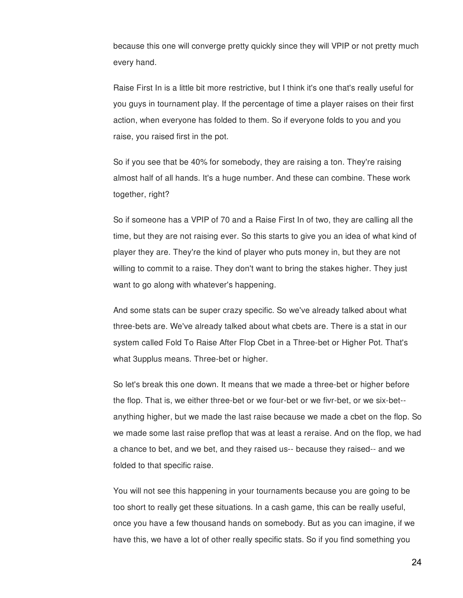because this one will converge pretty quickly since they will VPIP or not pretty much every hand.

Raise First In is a little bit more restrictive, but I think it's one that's really useful for you guys in tournament play. If the percentage of time a player raises on their first action, when everyone has folded to them. So if everyone folds to you and you raise, you raised first in the pot.

So if you see that be 40% for somebody, they are raising a ton. They're raising almost half of all hands. It's a huge number. And these can combine. These work together, right?

So if someone has a VPIP of 70 and a Raise First In of two, they are calling all the time, but they are not raising ever. So this starts to give you an idea of what kind of player they are. They're the kind of player who puts money in, but they are not willing to commit to a raise. They don't want to bring the stakes higher. They just want to go along with whatever's happening.

And some stats can be super crazy specific. So we've already talked about what three-bets are. We've already talked about what cbets are. There is a stat in our system called Fold To Raise After Flop Cbet in a Three-bet or Higher Pot. That's what 3upplus means. Three-bet or higher.

So let's break this one down. It means that we made a three-bet or higher before the flop. That is, we either three-bet or we four-bet or we fivr-bet, or we six-bet- anything higher, but we made the last raise because we made a cbet on the flop. So we made some last raise preflop that was at least a reraise. And on the flop, we had a chance to bet, and we bet, and they raised us-- because they raised-- and we folded to that specific raise.

You will not see this happening in your tournaments because you are going to be too short to really get these situations. In a cash game, this can be really useful, once you have a few thousand hands on somebody. But as you can imagine, if we have this, we have a lot of other really specific stats. So if you find something you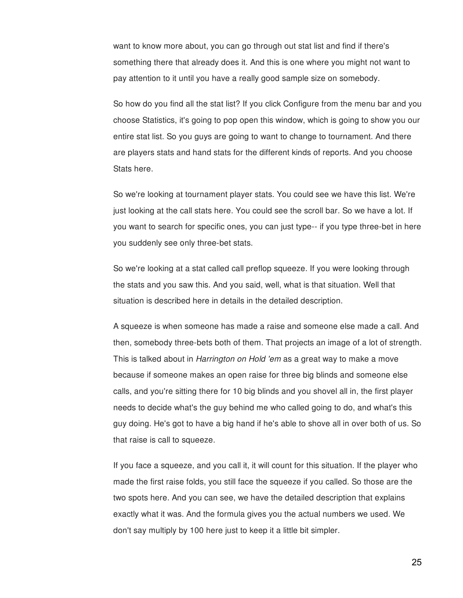want to know more about, you can go through out stat list and find if there's something there that already does it. And this is one where you might not want to pay attention to it until you have a really good sample size on somebody.

So how do you find all the stat list? If you click Configure from the menu bar and you choose Statistics, it's going to pop open this window, which is going to show you our entire stat list. So you guys are going to want to change to tournament. And there are players stats and hand stats for the different kinds of reports. And you choose Stats here.

So we're looking at tournament player stats. You could see we have this list. We're just looking at the call stats here. You could see the scroll bar. So we have a lot. If you want to search for specific ones, you can just type-- if you type three-bet in here you suddenly see only three-bet stats.

So we're looking at a stat called call preflop squeeze. If you were looking through the stats and you saw this. And you said, well, what is that situation. Well that situation is described here in details in the detailed description.

A squeeze is when someone has made a raise and someone else made a call. And then, somebody three-bets both of them. That projects an image of a lot of strength. This is talked about in *Harrington on Hold 'em* as a great way to make a move because if someone makes an open raise for three big blinds and someone else calls, and you're sitting there for 10 big blinds and you shovel all in, the first player needs to decide what's the guy behind me who called going to do, and what's this guy doing. He's got to have a big hand if he's able to shove all in over both of us. So that raise is call to squeeze.

If you face a squeeze, and you call it, it will count for this situation. If the player who made the first raise folds, you still face the squeeze if you called. So those are the two spots here. And you can see, we have the detailed description that explains exactly what it was. And the formula gives you the actual numbers we used. We don't say multiply by 100 here just to keep it a little bit simpler.

25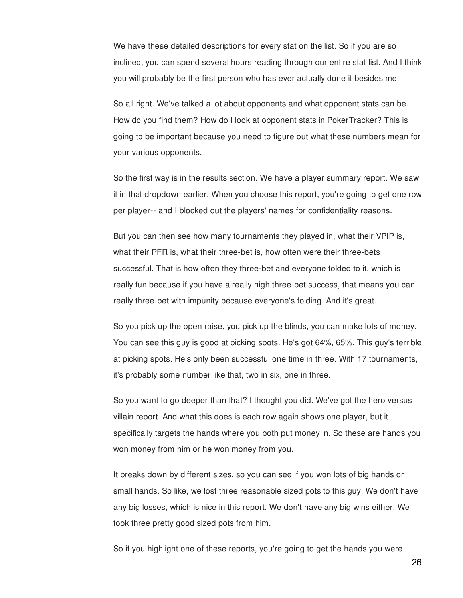We have these detailed descriptions for every stat on the list. So if you are so inclined, you can spend several hours reading through our entire stat list. And I think you will probably be the first person who has ever actually done it besides me.

So all right. We've talked a lot about opponents and what opponent stats can be. How do you find them? How do I look at opponent stats in PokerTracker? This is going to be important because you need to figure out what these numbers mean for your various opponents.

So the first way is in the results section. We have a player summary report. We saw it in that dropdown earlier. When you choose this report, you're going to get one row per player-- and I blocked out the players' names for confidentiality reasons.

But you can then see how many tournaments they played in, what their VPIP is, what their PFR is, what their three-bet is, how often were their three-bets successful. That is how often they three-bet and everyone folded to it, which is really fun because if you have a really high three-bet success, that means you can really three-bet with impunity because everyone's folding. And it's great.

So you pick up the open raise, you pick up the blinds, you can make lots of money. You can see this guy is good at picking spots. He's got 64%, 65%. This guy's terrible at picking spots. He's only been successful one time in three. With 17 tournaments, it's probably some number like that, two in six, one in three.

So you want to go deeper than that? I thought you did. We've got the hero versus villain report. And what this does is each row again shows one player, but it specifically targets the hands where you both put money in. So these are hands you won money from him or he won money from you.

It breaks down by different sizes, so you can see if you won lots of big hands or small hands. So like, we lost three reasonable sized pots to this guy. We don't have any big losses, which is nice in this report. We don't have any big wins either. We took three pretty good sized pots from him.

So if you highlight one of these reports, you're going to get the hands you were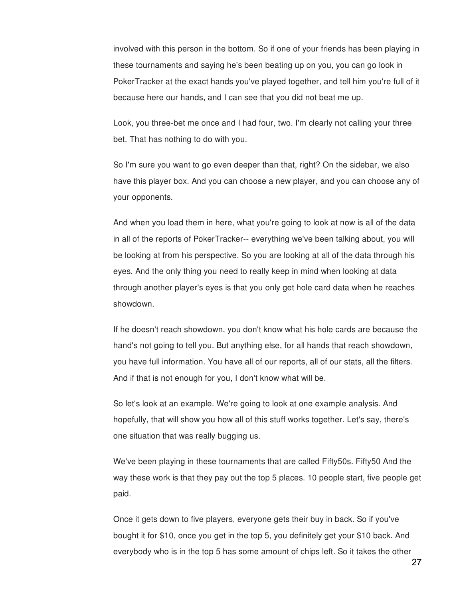involved with this person in the bottom. So if one of your friends has been playing in these tournaments and saying he's been beating up on you, you can go look in PokerTracker at the exact hands you've played together, and tell him you're full of it because here our hands, and I can see that you did not beat me up.

Look, you three-bet me once and I had four, two. I'm clearly not calling your three bet. That has nothing to do with you.

So I'm sure you want to go even deeper than that, right? On the sidebar, we also have this player box. And you can choose a new player, and you can choose any of your opponents.

And when you load them in here, what you're going to look at now is all of the data in all of the reports of PokerTracker-- everything we've been talking about, you will be looking at from his perspective. So you are looking at all of the data through his eyes. And the only thing you need to really keep in mind when looking at data through another player's eyes is that you only get hole card data when he reaches showdown.

If he doesn't reach showdown, you don't know what his hole cards are because the hand's not going to tell you. But anything else, for all hands that reach showdown, you have full information. You have all of our reports, all of our stats, all the filters. And if that is not enough for you, I don't know what will be.

So let's look at an example. We're going to look at one example analysis. And hopefully, that will show you how all of this stuff works together. Let's say, there's one situation that was really bugging us.

We've been playing in these tournaments that are called Fifty50s. Fifty50 And the way these work is that they pay out the top 5 places. 10 people start, five people get paid.

Once it gets down to five players, everyone gets their buy in back. So if you've bought it for \$10, once you get in the top 5, you definitely get your \$10 back. And everybody who is in the top 5 has some amount of chips left. So it takes the other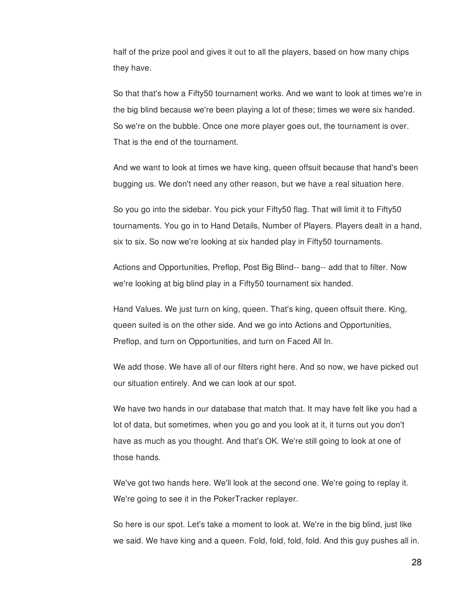half of the prize pool and gives it out to all the players, based on how many chips they have.

So that that's how a Fifty50 tournament works. And we want to look at times we're in the big blind because we're been playing a lot of these; times we were six handed. So we're on the bubble. Once one more player goes out, the tournament is over. That is the end of the tournament.

And we want to look at times we have king, queen offsuit because that hand's been bugging us. We don't need any other reason, but we have a real situation here.

So you go into the sidebar. You pick your Fifty50 flag. That will limit it to Fifty50 tournaments. You go in to Hand Details, Number of Players. Players dealt in a hand, six to six. So now we're looking at six handed play in Fifty50 tournaments.

Actions and Opportunities, Preflop, Post Big Blind-- bang-- add that to filter. Now we're looking at big blind play in a Fifty50 tournament six handed.

Hand Values. We just turn on king, queen. That's king, queen offsuit there. King, queen suited is on the other side. And we go into Actions and Opportunities, Preflop, and turn on Opportunities, and turn on Faced All In.

We add those. We have all of our filters right here. And so now, we have picked out our situation entirely. And we can look at our spot.

We have two hands in our database that match that. It may have felt like you had a lot of data, but sometimes, when you go and you look at it, it turns out you don't have as much as you thought. And that's OK. We're still going to look at one of those hands.

We've got two hands here. We'll look at the second one. We're going to replay it. We're going to see it in the PokerTracker replayer.

So here is our spot. Let's take a moment to look at. We're in the big blind, just like we said. We have king and a queen. Fold, fold, fold, fold. And this guy pushes all in.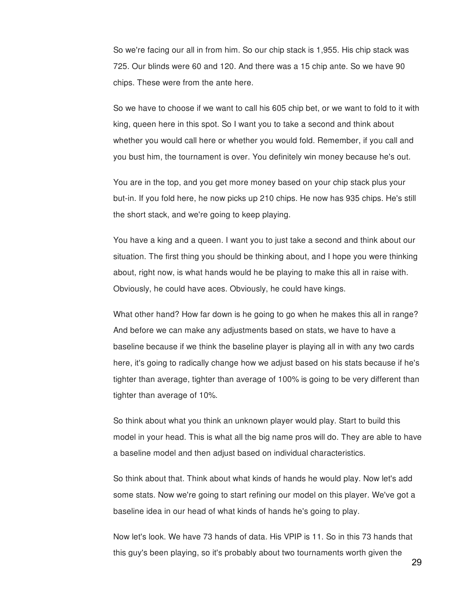So we're facing our all in from him. So our chip stack is 1,955. His chip stack was 725. Our blinds were 60 and 120. And there was a 15 chip ante. So we have 90 chips. These were from the ante here.

So we have to choose if we want to call his 605 chip bet, or we want to fold to it with king, queen here in this spot. So I want you to take a second and think about whether you would call here or whether you would fold. Remember, if you call and you bust him, the tournament is over. You definitely win money because he's out.

You are in the top, and you get more money based on your chip stack plus your but-in. If you fold here, he now picks up 210 chips. He now has 935 chips. He's still the short stack, and we're going to keep playing.

You have a king and a queen. I want you to just take a second and think about our situation. The first thing you should be thinking about, and I hope you were thinking about, right now, is what hands would he be playing to make this all in raise with. Obviously, he could have aces. Obviously, he could have kings.

What other hand? How far down is he going to go when he makes this all in range? And before we can make any adjustments based on stats, we have to have a baseline because if we think the baseline player is playing all in with any two cards here, it's going to radically change how we adjust based on his stats because if he's tighter than average, tighter than average of 100% is going to be very different than tighter than average of 10%.

So think about what you think an unknown player would play. Start to build this model in your head. This is what all the big name pros will do. They are able to have a baseline model and then adjust based on individual characteristics.

So think about that. Think about what kinds of hands he would play. Now let's add some stats. Now we're going to start refining our model on this player. We've got a baseline idea in our head of what kinds of hands he's going to play.

Now let's look. We have 73 hands of data. His VPIP is 11. So in this 73 hands that this guy's been playing, so it's probably about two tournaments worth given the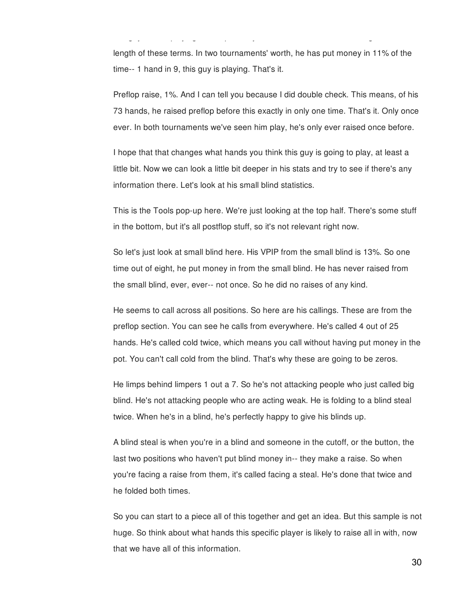length of these terms. In two tournaments' worth, he has put money in 11% of the time-- 1 hand in 9, this guy is playing. That's it.

this guy's been playing, so it's probably about two tournaments worth given the

Preflop raise, 1%. And I can tell you because I did double check. This means, of his 73 hands, he raised preflop before this exactly in only one time. That's it. Only once ever. In both tournaments we've seen him play, he's only ever raised once before.

I hope that that changes what hands you think this guy is going to play, at least a little bit. Now we can look a little bit deeper in his stats and try to see if there's any information there. Let's look at his small blind statistics.

This is the Tools pop-up here. We're just looking at the top half. There's some stuff in the bottom, but it's all postflop stuff, so it's not relevant right now.

So let's just look at small blind here. His VPIP from the small blind is 13%. So one time out of eight, he put money in from the small blind. He has never raised from the small blind, ever, ever-- not once. So he did no raises of any kind.

He seems to call across all positions. So here are his callings. These are from the preflop section. You can see he calls from everywhere. He's called 4 out of 25 hands. He's called cold twice, which means you call without having put money in the pot. You can't call cold from the blind. That's why these are going to be zeros.

He limps behind limpers 1 out a 7. So he's not attacking people who just called big blind. He's not attacking people who are acting weak. He is folding to a blind steal twice. When he's in a blind, he's perfectly happy to give his blinds up.

A blind steal is when you're in a blind and someone in the cutoff, or the button, the last two positions who haven't put blind money in-- they make a raise. So when you're facing a raise from them, it's called facing a steal. He's done that twice and he folded both times.

So you can start to a piece all of this together and get an idea. But this sample is not huge. So think about what hands this specific player is likely to raise all in with, now that we have all of this information.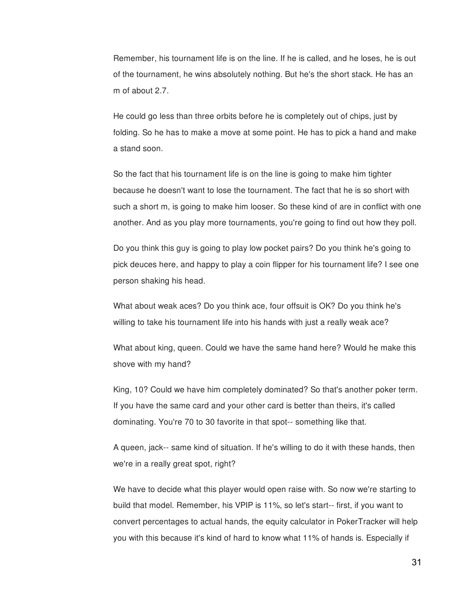Remember, his tournament life is on the line. If he is called, and he loses, he is out of the tournament, he wins absolutely nothing. But he's the short stack. He has an m of about 2.7.

He could go less than three orbits before he is completely out of chips, just by folding. So he has to make a move at some point. He has to pick a hand and make a stand soon.

So the fact that his tournament life is on the line is going to make him tighter because he doesn't want to lose the tournament. The fact that he is so short with such a short m, is going to make him looser. So these kind of are in conflict with one another. And as you play more tournaments, you're going to find out how they poll.

Do you think this guy is going to play low pocket pairs? Do you think he's going to pick deuces here, and happy to play a coin flipper for his tournament life? I see one person shaking his head.

What about weak aces? Do you think ace, four offsuit is OK? Do you think he's willing to take his tournament life into his hands with just a really weak ace?

What about king, queen. Could we have the same hand here? Would he make this shove with my hand?

King, 10? Could we have him completely dominated? So that's another poker term. If you have the same card and your other card is better than theirs, it's called dominating. You're 70 to 30 favorite in that spot-- something like that.

A queen, jack-- same kind of situation. If he's willing to do it with these hands, then we're in a really great spot, right?

We have to decide what this player would open raise with. So now we're starting to build that model. Remember, his VPIP is 11%, so let's start-- first, if you want to convert percentages to actual hands, the equity calculator in PokerTracker will help you with this because it's kind of hard to know what 11% of hands is. Especially if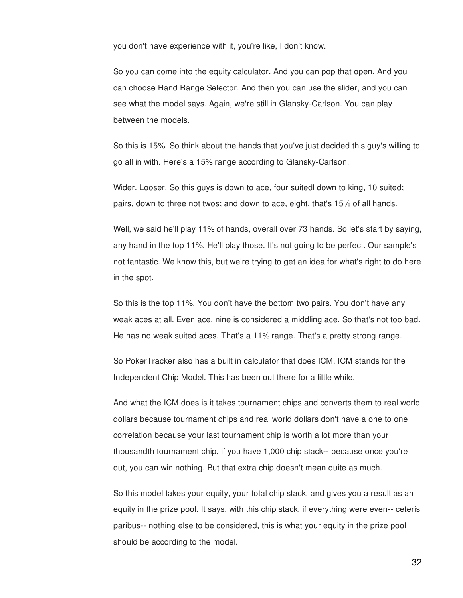you don't have experience with it, you're like, I don't know.

So you can come into the equity calculator. And you can pop that open. And you can choose Hand Range Selector. And then you can use the slider, and you can see what the model says. Again, we're still in Glansky-Carlson. You can play between the models.

So this is 15%. So think about the hands that you've just decided this guy's willing to go all in with. Here's a 15% range according to Glansky-Carlson.

Wider. Looser. So this guys is down to ace, four suitedl down to king, 10 suited; pairs, down to three not twos; and down to ace, eight. that's 15% of all hands.

Well, we said he'll play 11% of hands, overall over 73 hands. So let's start by saying, any hand in the top 11%. He'll play those. It's not going to be perfect. Our sample's not fantastic. We know this, but we're trying to get an idea for what's right to do here in the spot.

So this is the top 11%. You don't have the bottom two pairs. You don't have any weak aces at all. Even ace, nine is considered a middling ace. So that's not too bad. He has no weak suited aces. That's a 11% range. That's a pretty strong range.

So PokerTracker also has a built in calculator that does ICM. ICM stands for the Independent Chip Model. This has been out there for a little while.

And what the ICM does is it takes tournament chips and converts them to real world dollars because tournament chips and real world dollars don't have a one to one correlation because your last tournament chip is worth a lot more than your thousandth tournament chip, if you have 1,000 chip stack-- because once you're out, you can win nothing. But that extra chip doesn't mean quite as much.

So this model takes your equity, your total chip stack, and gives you a result as an equity in the prize pool. It says, with this chip stack, if everything were even-- ceteris paribus-- nothing else to be considered, this is what your equity in the prize pool should be according to the model.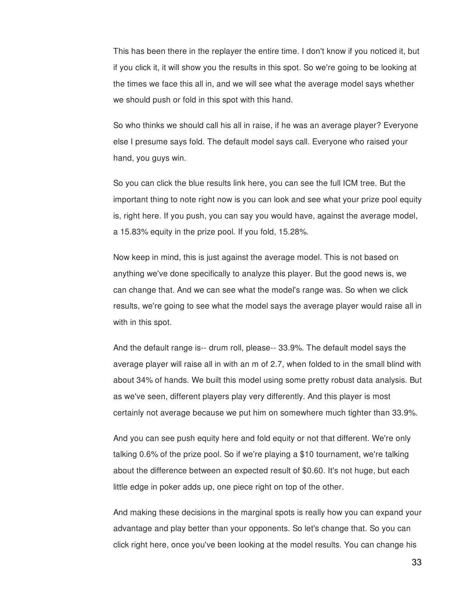This has been there in the replayer the entire time. I don't know if you noticed it, but if you click it, it will show you the results in this spot. So we're going to be looking at the times we face this all in, and we will see what the average model says whether we should push or fold in this spot with this hand.

So who thinks we should call his all in raise, if he was an average player? Everyone else I presume says fold. The default model says call. Everyone who raised your hand, you guys win.

So you can click the blue results link here, you can see the full ICM tree. But the important thing to note right now is you can look and see what your prize pool equity is, right here. If you push, you can say you would have, against the average model, a 15.83% equity in the prize pool. If you fold, 15.28%.

Now keep in mind, this is just against the average model. This is not based on anything we've done specifically to analyze this player. But the good news is, we can change that. And we can see what the model's range was. So when we click results, we're going to see what the model says the average player would raise all in with in this spot.

And the default range is-- drum roll, please-- 33.9%. The default model says the average player will raise all in with an m of 2.7, when folded to in the small blind with about 34% of hands. We built this model using some pretty robust data analysis. But as we've seen, different players play very differently. And this player is most certainly not average because we put him on somewhere much tighter than 33.9%.

And you can see push equity here and fold equity or not that different. We're only talking 0.6% of the prize pool. So if we're playing a \$10 tournament, we're talking about the difference between an expected result of \$0.60. It's not huge, but each little edge in poker adds up, one piece right on top of the other.

And making these decisions in the marginal spots is really how you can expand your advantage and play better than your opponents. So let's change that. So you can click right here, once you've been looking at the model results. You can change his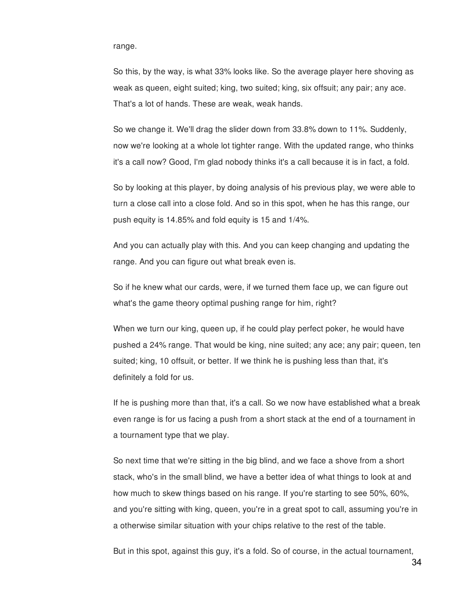range.

So this, by the way, is what 33% looks like. So the average player here shoving as weak as queen, eight suited; king, two suited; king, six offsuit; any pair; any ace. That's a lot of hands. These are weak, weak hands.

So we change it. We'll drag the slider down from 33.8% down to 11%. Suddenly, now we're looking at a whole lot tighter range. With the updated range, who thinks it's a call now? Good, I'm glad nobody thinks it's a call because it is in fact, a fold.

So by looking at this player, by doing analysis of his previous play, we were able to turn a close call into a close fold. And so in this spot, when he has this range, our push equity is 14.85% and fold equity is 15 and 1/4%.

And you can actually play with this. And you can keep changing and updating the range. And you can figure out what break even is.

So if he knew what our cards, were, if we turned them face up, we can figure out what's the game theory optimal pushing range for him, right?

When we turn our king, queen up, if he could play perfect poker, he would have pushed a 24% range. That would be king, nine suited; any ace; any pair; queen, ten suited; king, 10 offsuit, or better. If we think he is pushing less than that, it's definitely a fold for us.

If he is pushing more than that, it's a call. So we now have established what a break even range is for us facing a push from a short stack at the end of a tournament in a tournament type that we play.

So next time that we're sitting in the big blind, and we face a shove from a short stack, who's in the small blind, we have a better idea of what things to look at and how much to skew things based on his range. If you're starting to see 50%, 60%, and you're sitting with king, queen, you're in a great spot to call, assuming you're in a otherwise similar situation with your chips relative to the rest of the table.

But in this spot, against this guy, it's a fold. So of course, in the actual tournament,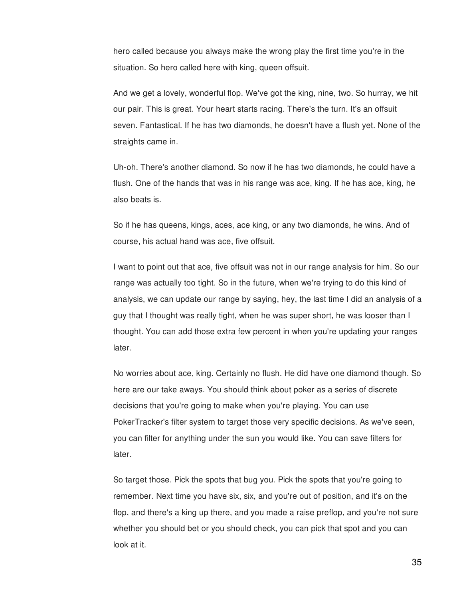hero called because you always make the wrong play the first time you're in the situation. So hero called here with king, queen offsuit.

And we get a lovely, wonderful flop. We've got the king, nine, two. So hurray, we hit our pair. This is great. Your heart starts racing. There's the turn. It's an offsuit seven. Fantastical. If he has two diamonds, he doesn't have a flush yet. None of the straights came in.

Uh-oh. There's another diamond. So now if he has two diamonds, he could have a flush. One of the hands that was in his range was ace, king. If he has ace, king, he also beats is.

So if he has queens, kings, aces, ace king, or any two diamonds, he wins. And of course, his actual hand was ace, five offsuit.

I want to point out that ace, five offsuit was not in our range analysis for him. So our range was actually too tight. So in the future, when we're trying to do this kind of analysis, we can update our range by saying, hey, the last time I did an analysis of a guy that I thought was really tight, when he was super short, he was looser than I thought. You can add those extra few percent in when you're updating your ranges later.

No worries about ace, king. Certainly no flush. He did have one diamond though. So here are our take aways. You should think about poker as a series of discrete decisions that you're going to make when you're playing. You can use PokerTracker's filter system to target those very specific decisions. As we've seen, you can filter for anything under the sun you would like. You can save filters for later.

So target those. Pick the spots that bug you. Pick the spots that you're going to remember. Next time you have six, six, and you're out of position, and it's on the flop, and there's a king up there, and you made a raise preflop, and you're not sure whether you should bet or you should check, you can pick that spot and you can look at it.